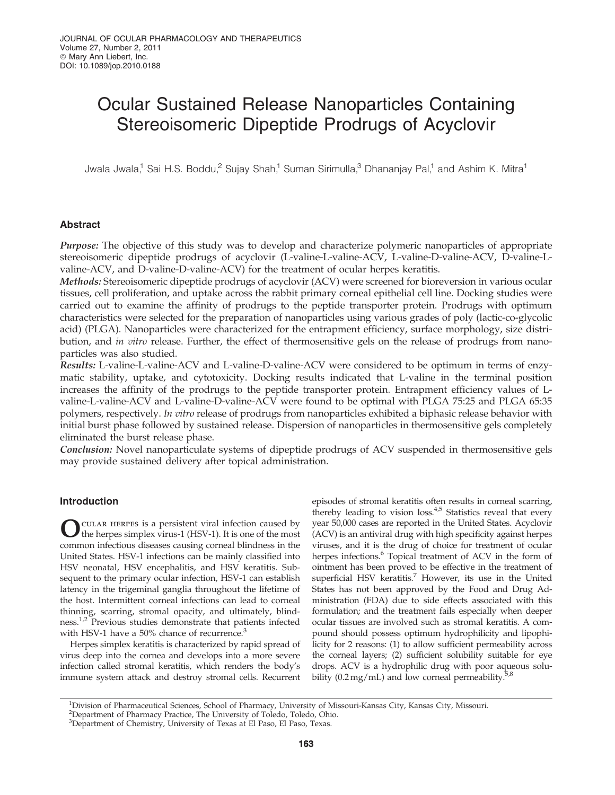# Ocular Sustained Release Nanoparticles Containing Stereoisomeric Dipeptide Prodrugs of Acyclovir

Jwala Jwala,<sup>1</sup> Sai H.S. Boddu,<sup>2</sup> Sujay Shah,<sup>1</sup> Suman Sirimulla,<sup>3</sup> Dhananjay Pal,<sup>1</sup> and Ashim K. Mitra<sup>1</sup>

# Abstract

Purpose: The objective of this study was to develop and characterize polymeric nanoparticles of appropriate stereoisomeric dipeptide prodrugs of acyclovir (L-valine-L-valine-ACV, L-valine-D-valine-ACV, D-valine-Lvaline-ACV, and D-valine-D-valine-ACV) for the treatment of ocular herpes keratitis.

Methods: Stereoisomeric dipeptide prodrugs of acyclovir (ACV) were screened for bioreversion in various ocular tissues, cell proliferation, and uptake across the rabbit primary corneal epithelial cell line. Docking studies were carried out to examine the affinity of prodrugs to the peptide transporter protein. Prodrugs with optimum characteristics were selected for the preparation of nanoparticles using various grades of poly (lactic-co-glycolic acid) (PLGA). Nanoparticles were characterized for the entrapment efficiency, surface morphology, size distribution, and *in vitro* release. Further, the effect of thermosensitive gels on the release of prodrugs from nanoparticles was also studied.

Results: L-valine-L-valine-ACV and L-valine-D-valine-ACV were considered to be optimum in terms of enzymatic stability, uptake, and cytotoxicity. Docking results indicated that L-valine in the terminal position increases the affinity of the prodrugs to the peptide transporter protein. Entrapment efficiency values of Lvaline-L-valine-ACV and L-valine-D-valine-ACV were found to be optimal with PLGA 75:25 and PLGA 65:35 polymers, respectively. *In vitro* release of prodrugs from nanoparticles exhibited a biphasic release behavior with initial burst phase followed by sustained release. Dispersion of nanoparticles in thermosensitive gels completely eliminated the burst release phase.

Conclusion: Novel nanoparticulate systems of dipeptide prodrugs of ACV suspended in thermosensitive gels may provide sustained delivery after topical administration.

# Introduction

O cular herpes is a persistent viral infection caused by the herpes simplex virus-1 (HSV-1). It is one of the most common infectious diseases causing corneal blindness in the United States. HSV-1 infections can be mainly classified into HSV neonatal, HSV encephalitis, and HSV keratitis. Subsequent to the primary ocular infection, HSV-1 can establish latency in the trigeminal ganglia throughout the lifetime of the host. Intermittent corneal infections can lead to corneal thinning, scarring, stromal opacity, and ultimately, blindness.<sup>1,2</sup> Previous studies demonstrate that patients infected with HSV-1 have a 50% chance of recurrence.<sup>3</sup>

Herpes simplex keratitis is characterized by rapid spread of virus deep into the cornea and develops into a more severe infection called stromal keratitis, which renders the body's immune system attack and destroy stromal cells. Recurrent

episodes of stromal keratitis often results in corneal scarring, thereby leading to vision loss. $4,5$  Statistics reveal that every year 50,000 cases are reported in the United States. Acyclovir (ACV) is an antiviral drug with high specificity against herpes viruses, and it is the drug of choice for treatment of ocular herpes infections.<sup>6</sup> Topical treatment of ACV in the form of ointment has been proved to be effective in the treatment of superficial HSV keratitis.<sup>7</sup> However, its use in the United States has not been approved by the Food and Drug Administration (FDA) due to side effects associated with this formulation; and the treatment fails especially when deeper ocular tissues are involved such as stromal keratitis. A compound should possess optimum hydrophilicity and lipophilicity for 2 reasons: (1) to allow sufficient permeability across the corneal layers; (2) sufficient solubility suitable for eye drops. ACV is a hydrophilic drug with poor aqueous solubility (0.2 mg/mL) and low corneal permeability.<sup>5,8</sup>

<sup>1</sup>Division of Pharmaceutical Sciences, School of Pharmacy, University of Missouri-Kansas City, Kansas City, Missouri.

<sup>&</sup>lt;sup>2</sup>Department of Pharmacy Practice, The University of Toledo, Toledo, Ohio.

<sup>&</sup>lt;sup>3</sup>Department of Chemistry, University of Texas at El Paso, El Paso, Texas.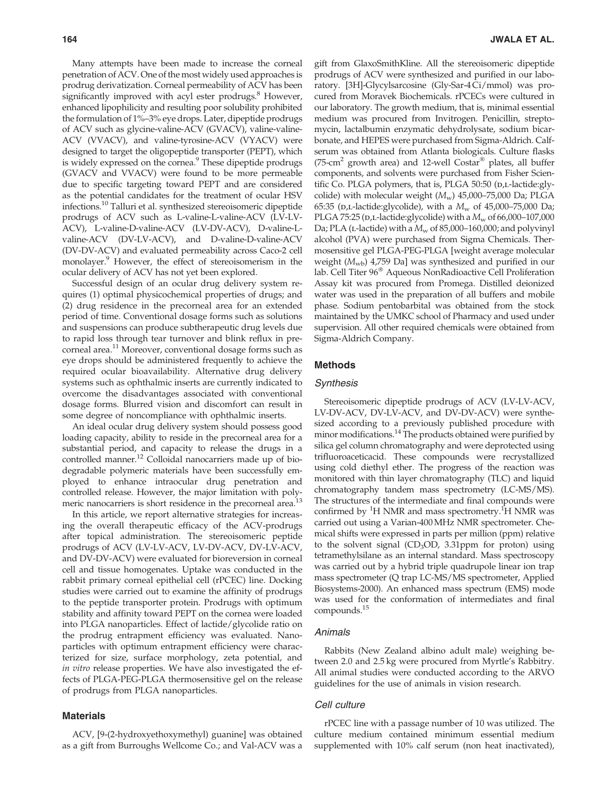Many attempts have been made to increase the corneal penetration of ACV. One of the most widely used approaches is prodrug derivatization. Corneal permeability of ACV has been significantly improved with acyl ester prodrugs.<sup>8</sup> However, enhanced lipophilicity and resulting poor solubility prohibited the formulation of 1%–3% eye drops. Later, dipeptide prodrugs of ACV such as glycine-valine-ACV (GVACV), valine-valine-ACV (VVACV), and valine-tyrosine-ACV (VYACV) were designed to target the oligopeptide transporter (PEPT), which is widely expressed on the cornea.<sup>9</sup> These dipeptide prodrugs (GVACV and VVACV) were found to be more permeable due to specific targeting toward PEPT and are considered as the potential candidates for the treatment of ocular HSV infections.<sup>10</sup> Talluri et al. synthesized stereoisomeric dipeptide prodrugs of ACV such as L-valine-L-valine-ACV (LV-LV-ACV), L-valine-D-valine-ACV (LV-DV-ACV), D-valine-Lvaline-ACV (DV-LV-ACV), and D-valine-D-valine-ACV (DV-DV-ACV) and evaluated permeability across Caco-2 cell monolayer.<sup>9</sup> However, the effect of stereoisomerism in the ocular delivery of ACV has not yet been explored.

Successful design of an ocular drug delivery system requires (1) optimal physicochemical properties of drugs; and (2) drug residence in the precorneal area for an extended period of time. Conventional dosage forms such as solutions and suspensions can produce subtherapeutic drug levels due to rapid loss through tear turnover and blink reflux in precorneal area.<sup>11</sup> Moreover, conventional dosage forms such as eye drops should be administered frequently to achieve the required ocular bioavailability. Alternative drug delivery systems such as ophthalmic inserts are currently indicated to overcome the disadvantages associated with conventional dosage forms. Blurred vision and discomfort can result in some degree of noncompliance with ophthalmic inserts.

An ideal ocular drug delivery system should possess good loading capacity, ability to reside in the precorneal area for a substantial period, and capacity to release the drugs in a controlled manner.<sup>12</sup> Colloidal nanocarriers made up of biodegradable polymeric materials have been successfully employed to enhance intraocular drug penetration and controlled release. However, the major limitation with polymeric nanocarriers is short residence in the precorneal area.<sup>13</sup>

In this article, we report alternative strategies for increasing the overall therapeutic efficacy of the ACV-prodrugs after topical administration. The stereoisomeric peptide prodrugs of ACV (LV-LV-ACV, LV-DV-ACV, DV-LV-ACV, and DV-DV-ACV) were evaluated for bioreversion in corneal cell and tissue homogenates. Uptake was conducted in the rabbit primary corneal epithelial cell (rPCEC) line. Docking studies were carried out to examine the affinity of prodrugs to the peptide transporter protein. Prodrugs with optimum stability and affinity toward PEPT on the cornea were loaded into PLGA nanoparticles. Effect of lactide/glycolide ratio on the prodrug entrapment efficiency was evaluated. Nanoparticles with optimum entrapment efficiency were characterized for size, surface morphology, zeta potential, and *in vitro* release properties. We have also investigated the effects of PLGA-PEG-PLGA thermosensitive gel on the release of prodrugs from PLGA nanoparticles.

# Materials

ACV, [9-(2-hydroxyethoxymethyl) guanine] was obtained as a gift from Burroughs Wellcome Co.; and Val-ACV was a gift from GlaxoSmithKline. All the stereoisomeric dipeptide prodrugs of ACV were synthesized and purified in our laboratory. [3H]-Glycylsarcosine (Gly-Sar-4 Ci/mmol) was procured from Moravek Biochemicals. rPCECs were cultured in our laboratory. The growth medium, that is, minimal essential medium was procured from Invitrogen. Penicillin, streptomycin, lactalbumin enzymatic dehydrolysate, sodium bicarbonate, and HEPES were purchased from Sigma-Aldrich. Calfserum was obtained from Atlanta biologicals. Culture flasks (75-cm<sup>2</sup> growth area) and 12-well Costar® plates, all buffer components, and solvents were purchased from Fisher Scientific Co. PLGA polymers, that is, PLGA  $50:50$  ( $D,L$ -lactide:glycolide) with molecular weight ( $M<sub>w</sub>$ ) 45,000–75,000 Da; PLGA 65:35 (D,L-lactide:glycolide), with a  $M_w$  of 45,000–75,000 Da; PLGA 75:25 ( $p,L$ -lactide:glycolide) with a  $M_w$  of 66,000–107,000 Da; PLA ( $L$ -lactide) with a  $M_w$  of 85,000–160,000; and polyvinyl alcohol (PVA) were purchased from Sigma Chemicals. Thermosensitive gel PLGA-PEG-PLGA [weight average molecular weight  $(M_{\text{wb}})$  4,759 Da] was synthesized and purified in our lab. Cell Titer 96<sup>®</sup> Aqueous NonRadioactive Cell Proliferation Assay kit was procured from Promega. Distilled deionized water was used in the preparation of all buffers and mobile phase. Sodium pentobarbital was obtained from the stock maintained by the UMKC school of Pharmacy and used under supervision. All other required chemicals were obtained from Sigma-Aldrich Company.

# Methods

#### Synthesis

Stereoisomeric dipeptide prodrugs of ACV (LV-LV-ACV, LV-DV-ACV, DV-LV-ACV, and DV-DV-ACV) were synthesized according to a previously published procedure with minor modifications.<sup>14</sup> The products obtained were purified by silica gel column chromatography and were deprotected using trifluoroaceticacid. These compounds were recrystallized using cold diethyl ether. The progress of the reaction was monitored with thin layer chromatography (TLC) and liquid chromatography tandem mass spectrometry (LC-MS/MS). The structures of the intermediate and final compounds were confirmed by  ${}^{1}$ H NMR and mass spectrometry.<sup>1</sup>H NMR was carried out using a Varian-400MHz NMR spectrometer. Chemical shifts were expressed in parts per million (ppm) relative to the solvent signal (CD<sub>3</sub>OD, 3.31ppm for proton) using tetramethylsilane as an internal standard. Mass spectroscopy was carried out by a hybrid triple quadrupole linear ion trap mass spectrometer (Q trap LC-MS/MS spectrometer, Applied Biosystems-2000). An enhanced mass spectrum (EMS) mode was used for the conformation of intermediates and final compounds.<sup>15</sup>

#### Animals

Rabbits (New Zealand albino adult male) weighing between 2.0 and 2.5 kg were procured from Myrtle's Rabbitry. All animal studies were conducted according to the ARVO guidelines for the use of animals in vision research.

#### Cell culture

rPCEC line with a passage number of 10 was utilized. The culture medium contained minimum essential medium supplemented with 10% calf serum (non heat inactivated),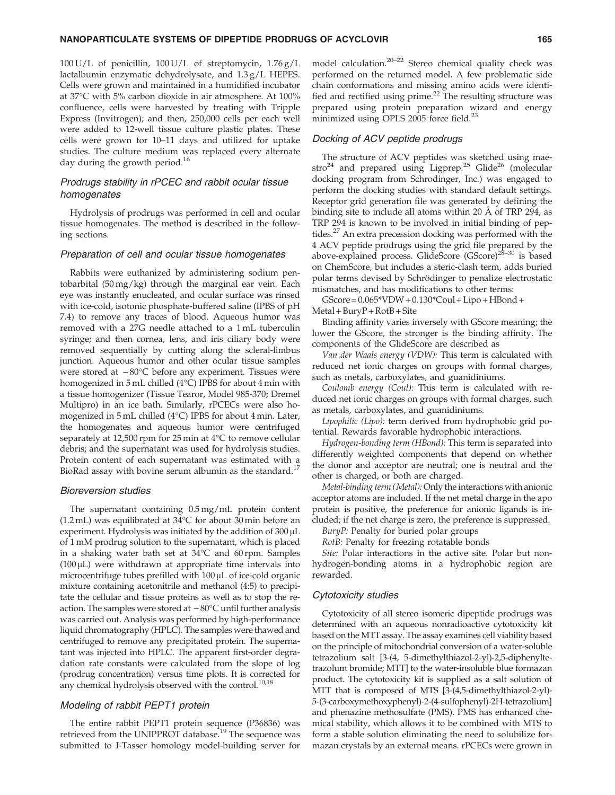$100 U/L$  of penicillin,  $100 U/L$  of streptomycin,  $1.76 g/L$ lactalbumin enzymatic dehydrolysate, and 1.3 g/L HEPES. Cells were grown and maintained in a humidified incubator at 37C with 5% carbon dioxide in air atmosphere. At 100% confluence, cells were harvested by treating with Tripple Express (Invitrogen); and then, 250,000 cells per each well were added to 12-well tissue culture plastic plates. These cells were grown for 10–11 days and utilized for uptake studies. The culture medium was replaced every alternate day during the growth period.<sup>16</sup>

# Prodrugs stability in rPCEC and rabbit ocular tissue homogenates

Hydrolysis of prodrugs was performed in cell and ocular tissue homogenates. The method is described in the following sections.

## Preparation of cell and ocular tissue homogenates

Rabbits were euthanized by administering sodium pentobarbital (50 mg/kg) through the marginal ear vein. Each eye was instantly enucleated, and ocular surface was rinsed with ice-cold, isotonic phosphate-buffered saline (IPBS of pH 7.4) to remove any traces of blood. Aqueous humor was removed with a 27G needle attached to a 1 mL tuberculin syringe; and then cornea, lens, and iris ciliary body were removed sequentially by cutting along the scleral-limbus junction. Aqueous humor and other ocular tissue samples were stored at  $-80^{\circ}$ C before any experiment. Tissues were homogenized in  $5 \text{ mL}$  chilled (4 $^{\circ}$ C) IPBS for about 4 min with a tissue homogenizer (Tissue Tearor, Model 985-370; Dremel Multipro) in an ice bath. Similarly, rPCECs were also homogenized in  $5 \text{ mL}$  chilled (4 $^{\circ}$ C) IPBS for about 4 min. Later, the homogenates and aqueous humor were centrifuged separately at 12,500 rpm for 25 min at 4°C to remove cellular debris; and the supernatant was used for hydrolysis studies. Protein content of each supernatant was estimated with a BioRad assay with bovine serum albumin as the standard.<sup>17</sup>

#### Bioreversion studies

The supernatant containing 0.5 mg/mL protein content (1.2 mL) was equilibrated at  $34^{\circ}$ C for about 30 min before an experiment. Hydrolysis was initiated by the addition of  $300 \mu L$ of 1 mM prodrug solution to the supernatant, which is placed in a shaking water bath set at  $34^{\circ}$ C and 60 rpm. Samples  $(100 \,\mu L)$  were withdrawn at appropriate time intervals into microcentrifuge tubes prefilled with 100 µL of ice-cold organic mixture containing acetonitrile and methanol (4:5) to precipitate the cellular and tissue proteins as well as to stop the reaction. The samples were stored at  $-80^{\circ}$ C until further analysis was carried out. Analysis was performed by high-performance liquid chromatography (HPLC). The samples were thawed and centrifuged to remove any precipitated protein. The supernatant was injected into HPLC. The apparent first-order degradation rate constants were calculated from the slope of log (prodrug concentration) versus time plots. It is corrected for any chemical hydrolysis observed with the control.<sup>10,18</sup>

# Modeling of rabbit PEPT1 protein

The entire rabbit PEPT1 protein sequence (P36836) was retrieved from the UNIPPROT database.<sup>19</sup> The sequence was submitted to I-Tasser homology model-building server for model calculation.20–22 Stereo chemical quality check was performed on the returned model. A few problematic side chain conformations and missing amino acids were identified and rectified using prime.<sup>22</sup> The resulting structure was prepared using protein preparation wizard and energy minimized using OPLS 2005 force field.<sup>23</sup>

# Docking of ACV peptide prodrugs

The structure of ACV peptides was sketched using maestro<sup>24</sup> and prepared using Ligprep.<sup>25</sup> Glide<sup>26</sup> (molecular docking program from Schrodinger, Inc.) was engaged to perform the docking studies with standard default settings. Receptor grid generation file was generated by defining the binding site to include all atoms within 20 Å of TRP 294, as TRP 294 is known to be involved in initial binding of peptides.<sup>27</sup> An extra precession docking was performed with the 4 ACV peptide prodrugs using the grid file prepared by the above-explained process. GlideScore (GScore)<sup>28-30</sup> is based on ChemScore, but includes a steric-clash term, adds buried polar terms devised by Schrödinger to penalize electrostatic mismatches, and has modifications to other terms:

 $GScore = 0.065*VDW + 0.130*Coul + Lipo + HBond +$  $MetaI + BuryP + RotB + Site$ 

Binding affinity varies inversely with GScore meaning; the lower the GScore, the stronger is the binding affinity. The components of the GlideScore are described as

*Van der Waals energy (VDW):* This term is calculated with reduced net ionic charges on groups with formal charges, such as metals, carboxylates, and guanidiniums.

*Coulomb energy (Coul):* This term is calculated with reduced net ionic charges on groups with formal charges, such as metals, carboxylates, and guanidiniums.

*Lipophilic (Lipo):* term derived from hydrophobic grid potential. Rewards favorable hydrophobic interactions.

*Hydrogen-bonding term (HBond):* This term is separated into differently weighted components that depend on whether the donor and acceptor are neutral; one is neutral and the other is charged, or both are charged.

*Metal-binding term (Metal):* Only the interactions with anionic acceptor atoms are included. If the net metal charge in the apo protein is positive, the preference for anionic ligands is included; if the net charge is zero, the preference is suppressed.

*BuryP:* Penalty for buried polar groups

*RotB:* Penalty for freezing rotatable bonds

*Site:* Polar interactions in the active site. Polar but nonhydrogen-bonding atoms in a hydrophobic region are rewarded.

#### Cytotoxicity studies

Cytotoxicity of all stereo isomeric dipeptide prodrugs was determined with an aqueous nonradioactive cytotoxicity kit based on the MTT assay. The assay examines cell viability based on the principle of mitochondrial conversion of a water-soluble tetrazolium salt [3-(4, 5-dimethylthiazol-2-yl)-2,5-diphenyltetrazolum bromide; MTT] to the water-insoluble blue formazan product. The cytotoxicity kit is supplied as a salt solution of MTT that is composed of MTS [3-(4,5-dimethylthiazol-2-yl)- 5-(3-carboxymethoxyphenyl)-2-(4-sulfophenyl)-2H-tetrazolium] and phenazine methosulfate (PMS). PMS has enhanced chemical stability, which allows it to be combined with MTS to form a stable solution eliminating the need to solubilize formazan crystals by an external means. rPCECs were grown in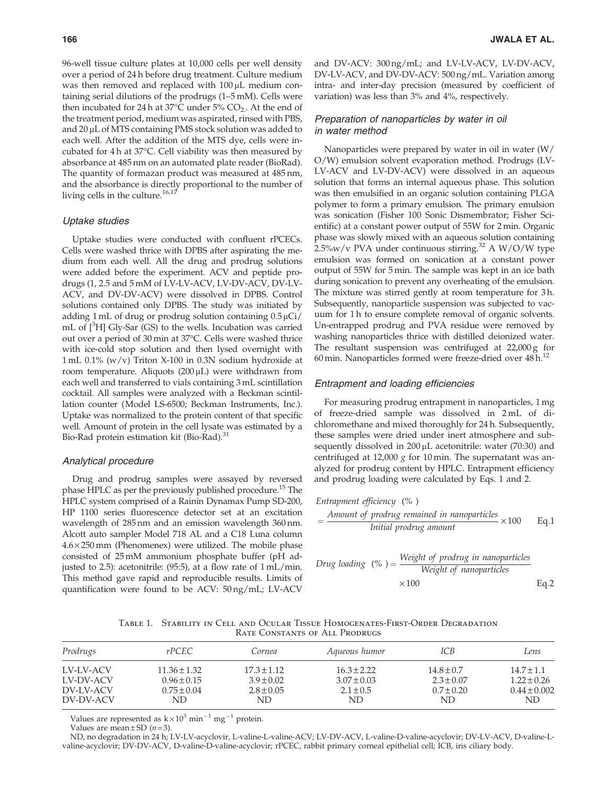96-well tissue culture plates at 10,000 cells per well density over a period of 24 h before drug treatment. Culture medium was then removed and replaced with  $100 \mu$ L medium containing serial dilutions of the prodrugs (1–5 mM). Cells were then incubated for 24 h at 37 $\degree$ C under 5% CO<sub>2</sub>. At the end of the treatment period, medium was aspirated, rinsed with PBS, and 20 µL of MTS containing PMS stock solution was added to each well. After the addition of the MTS dye, cells were incubated for  $4 h$  at  $37^{\circ}$ C. Cell viability was then measured by absorbance at 485 nm on an automated plate reader (BioRad). The quantity of formazan product was measured at 485 nm, and the absorbance is directly proportional to the number of living cells in the culture.<sup>16,17</sup>

### Uptake studies

Uptake studies were conducted with confluent rPCECs. Cells were washed thrice with DPBS after aspirating the medium from each well. All the drug and prodrug solutions were added before the experiment. ACV and peptide prodrugs (1, 2.5 and 5 mM of LV-LV-ACV, LV-DV-ACV, DV-LV-ACV, and DV-DV-ACV) were dissolved in DPBS. Control solutions contained only DPBS. The study was initiated by adding 1 mL of drug or prodrug solution containing  $0.5 \mu Ci$ / mL of [3H] Gly-Sar (GS) to the wells. Incubation was carried out over a period of 30 min at  $37^{\circ}$ C. Cells were washed thrice with ice-cold stop solution and then lysed overnight with 1 mL  $0.1\%$  (w/v) Triton X-100 in 0.3N sodium hydroxide at room temperature. Aliquots (200  $\mu$ L) were withdrawn from each well and transferred to vials containing 3 mL scintillation cocktail. All samples were analyzed with a Beckman scintillation counter (Model LS-6500; Beckman Instruments, Inc.). Uptake was normalized to the protein content of that specific well. Amount of protein in the cell lysate was estimated by a Bio-Rad protein estimation kit (Bio-Rad).<sup>31</sup>

#### Analytical procedure

Drug and prodrug samples were assayed by reversed phase HPLC as per the previously published procedure.<sup>15</sup> The HPLC system comprised of a Rainin Dynamax Pump SD-200, HP 1100 series fluorescence detector set at an excitation wavelength of 285 nm and an emission wavelength 360 nm. Alcott auto sampler Model 718 AL and a C18 Luna column  $4.6 \times 250$  mm (Phenomenex) were utilized. The mobile phase consisted of 25 mM ammonium phosphate buffer (pH adjusted to 2.5): acetonitrile: (95:5), at a flow rate of 1 mL/min. This method gave rapid and reproducible results. Limits of quantification were found to be ACV: 50 ng/mL; LV-ACV

and DV-ACV: 300 ng/mL; and LV-LV-ACV, LV-DV-ACV, DV-LV-ACV, and DV-DV-ACV: 500 ng/mL. Variation among intra- and inter-day precision (measured by coefficient of variation) was less than 3% and 4%, respectively.

# Preparation of nanoparticles by water in oil in water method

Nanoparticles were prepared by water in oil in water (W/ O/W) emulsion solvent evaporation method. Prodrugs (LV-LV-ACV and LV-DV-ACV) were dissolved in an aqueous solution that forms an internal aqueous phase. This solution was then emulsified in an organic solution containing PLGA polymer to form a primary emulsion. The primary emulsion was sonication (Fisher 100 Sonic Dismembrator; Fisher Scientific) at a constant power output of 55W for 2 min. Organic phase was slowly mixed with an aqueous solution containing  $2.5\%$ w/v PVA under continuous stirring.<sup>32</sup> A W/O/W type emulsion was formed on sonication at a constant power output of 55W for 5 min. The sample was kept in an ice bath during sonication to prevent any overheating of the emulsion. The mixture was stirred gently at room temperature for 3 h. Subsequently, nanoparticle suspension was subjected to vacuum for 1 h to ensure complete removal of organic solvents. Un-entrapped prodrug and PVA residue were removed by washing nanoparticles thrice with distilled deionized water. The resultant suspension was centrifuged at 22,000 g for 60 min. Nanoparticles formed were freeze-dried over  $48 h<sup>12</sup>$ 

# Entrapment and loading efficiencies

For measuring prodrug entrapment in nanoparticles, 1 mg of freeze-dried sample was dissolved in 2 mL of dichloromethane and mixed thoroughly for 24 h. Subsequently, these samples were dried under inert atmosphere and subsequently dissolved in  $200 \mu$ L acetonitrile: water (70:30) and centrifuged at 12,000 *g* for 10 min. The supernatant was analyzed for prodrug content by HPLC. Entrapment efficiency and prodrug loading were calculated by Eqs. 1 and 2.

*Entrapment efficiency* (%)  
= 
$$
\frac{Amount of prodrug remained in nanoparticles}{Initial prodrug amount} \times 100
$$
 Eq.1

Drug loading 
$$
(\%) = \frac{\text{Weight of prodrug in nanoparticles}}{\text{Weight of nanoparticles}} \times 100
$$

\nEq.2

Table 1. Stability in Cell and Ocular Tissue Homogenates-First-Order Degradation Rate Constants of All Prodrugs

| Prodrugs  | rPCEC            | Cornea          | Aaueous humor   | ICB            | Lens             |
|-----------|------------------|-----------------|-----------------|----------------|------------------|
| LV-LV-ACV | $11.36 \pm 1.32$ | $17.3 \pm 1.12$ | $16.3 \pm 2.22$ | $14.8 \pm 0.7$ | $14.7 + 1.1$     |
| LV-DV-ACV | $0.96 \pm 0.15$  | $3.9 \pm 0.02$  | $3.07 \pm 0.03$ | $2.3 \pm 0.07$ | $1.22 \pm 0.26$  |
| DV-LV-ACV | $0.75 \pm 0.04$  | $2.8 \pm 0.05$  | $2.1 \pm 0.5$   | $0.7 \pm 0.20$ | $0.44 \pm 0.002$ |
| DV-DV-ACV | ND               | ND.             | ND              | ND             | ND.              |

Values are represented as  $k \times 10^3$  min<sup>-1</sup> mg<sup>-1</sup> protein.

Values are mean  $\pm$  SD ( $n = 3$ ).

ND, no degradation in 24 h; LV-LV-acyclovir, L-valine-L-valine-ACV; LV-DV-ACV, L-valine-D-valine-acyclovir; DV-LV-ACV, D-valine-Lvaline-acyclovir; DV-DV-ACV, D-valine-D-valine-acyclovir; rPCEC, rabbit primary corneal epithelial cell; ICB, iris ciliary body.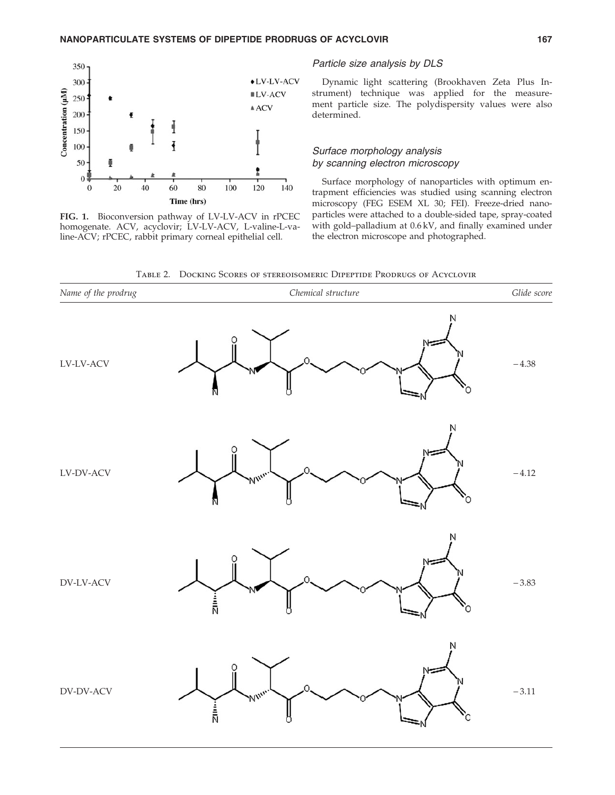

FIG. 1. Bioconversion pathway of LV-LV-ACV in rPCEC homogenate. ACV, acyclovir; LV-LV-ACV, L-valine-L-valine-ACV; rPCEC, rabbit primary corneal epithelial cell.

## Particle size analysis by DLS

Dynamic light scattering (Brookhaven Zeta Plus Instrument) technique was applied for the measurement particle size. The polydispersity values were also determined.

# Surface morphology analysis by scanning electron microscopy

Surface morphology of nanoparticles with optimum entrapment efficiencies was studied using scanning electron microscopy (FEG ESEM XL 30; FEI). Freeze-dried nanoparticles were attached to a double-sided tape, spray-coated with gold–palladium at 0.6 kV, and finally examined under the electron microscope and photographed.

Table 2. Docking Scores of stereoisomeric Dipeptide Prodrugs of Acyclovir

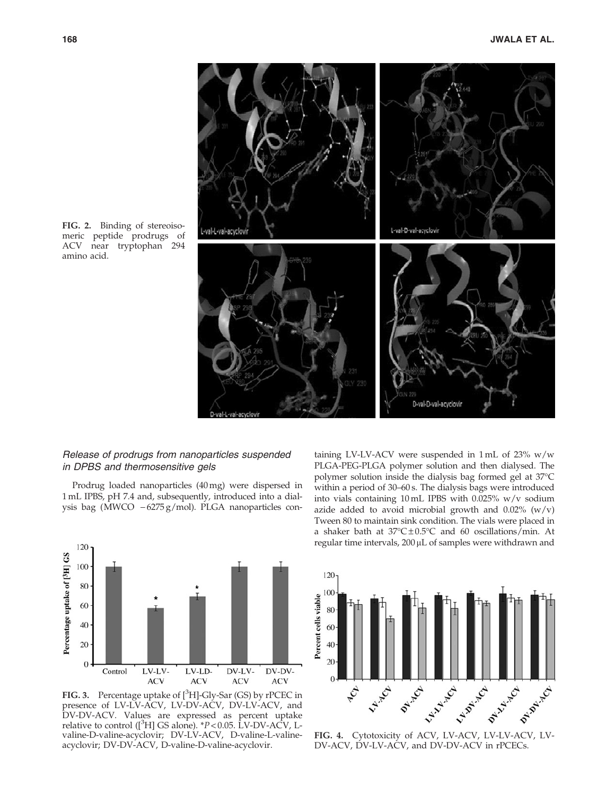

FIG. 2. Binding of stereoisomeric peptide prodrugs of ACV near tryptophan 294 amino acid.

# Release of prodrugs from nanoparticles suspended in DPBS and thermosensitive gels

Prodrug loaded nanoparticles (40 mg) were dispersed in 1 mL IPBS, pH 7.4 and, subsequently, introduced into a dialysis bag (MWCO  $-6275 g/mol$ ). PLGA nanoparticles con-



FIG. 3. Percentage uptake of  $[^{3}H]$ -Gly-Sar (GS) by rPCEC in presence of LV-LV-ACV, LV-DV-ACV, DV-LV-ACV, and DV-DV-ACV. Values are expressed as percent uptake relative to control  $\binom{3}{1}$  GS alone). *\*P* < 0.05. LV-DV-ACV, Lvaline-D-valine-acyclovir; DV-LV-ACV, D-valine-L-valineacyclovir; DV-DV-ACV, D-valine-D-valine-acyclovir.

taining LV-LV-ACV were suspended in 1 mL of 23% w/w PLGA-PEG-PLGA polymer solution and then dialysed. The polymer solution inside the dialysis bag formed gel at 37°C within a period of 30–60 s. The dialysis bags were introduced into vials containing 10 mL IPBS with 0.025% w/v sodium azide added to avoid microbial growth and  $0.02\%$  (w/v) Tween 80 to maintain sink condition. The vials were placed in a shaker bath at  $37^{\circ}$ C $\pm$ 0.5°C and 60 oscillations/min. At regular time intervals,  $200 \mu L$  of samples were withdrawn and



DV-ACV, DV-LV-ACV, and DV-DV-ACV in rPCECs.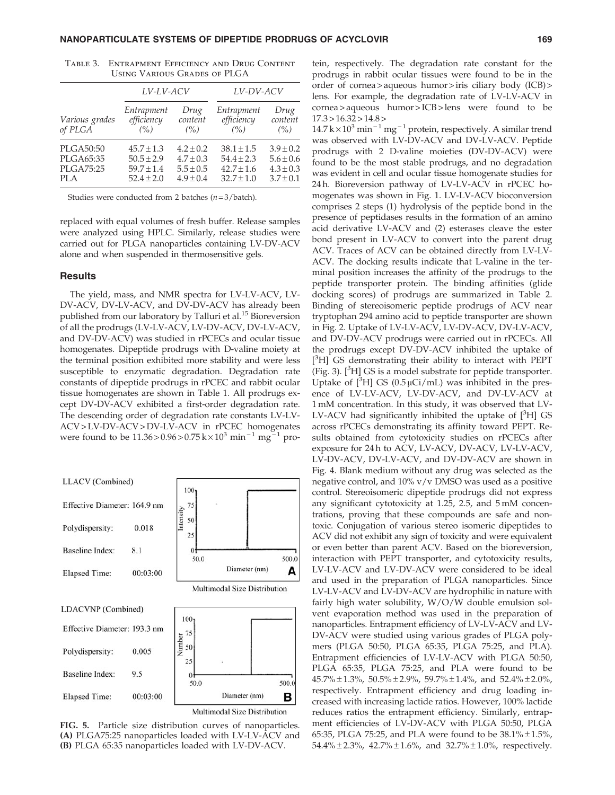|                                                   | LV-LV-ACV                                                            |                                                                  | LV-DV-ACV                                                            |                                                                  |
|---------------------------------------------------|----------------------------------------------------------------------|------------------------------------------------------------------|----------------------------------------------------------------------|------------------------------------------------------------------|
| Various grades<br>of PLGA                         | Entrapment<br>efficiency<br>(% )                                     | Drug<br>content<br>(% )                                          | Entrapment<br>efficiency<br>(% )                                     | Drug<br>content<br>(% )                                          |
| PLGA50:50<br>PLGA65:35<br><b>PLGA75:25</b><br>PLA | $45.7 \pm 1.3$<br>$50.5 \pm 2.9$<br>$59.7 \pm 1.4$<br>$52.4 \pm 2.0$ | $4.2 \pm 0.2$<br>$4.7 \pm 0.3$<br>$5.5 \pm 0.5$<br>$4.9 \pm 0.4$ | $38.1 \pm 1.5$<br>$54.4 \pm 2.3$<br>$42.7 \pm 1.6$<br>$32.7 \pm 1.0$ | $3.9 \pm 0.2$<br>$5.6 \pm 0.6$<br>$4.3 \pm 0.3$<br>$3.7 \pm 0.1$ |

Table 3. Entrapment Efficiency and Drug Content Using Various Grades of PLGA

Studies were conducted from 2 batches (*n* = 3/batch).

replaced with equal volumes of fresh buffer. Release samples were analyzed using HPLC. Similarly, release studies were carried out for PLGA nanoparticles containing LV-DV-ACV alone and when suspended in thermosensitive gels.

## **Results**

The yield, mass, and NMR spectra for LV-LV-ACV, LV-DV-ACV, DV-LV-ACV, and DV-DV-ACV has already been published from our laboratory by Talluri et al.<sup>15</sup> Bioreversion of all the prodrugs (LV-LV-ACV, LV-DV-ACV, DV-LV-ACV, and DV-DV-ACV) was studied in rPCECs and ocular tissue homogenates. Dipeptide prodrugs with D-valine moiety at the terminal position exhibited more stability and were less susceptible to enzymatic degradation. Degradation rate constants of dipeptide prodrugs in rPCEC and rabbit ocular tissue homogenates are shown in Table 1. All prodrugs except DV-DV-ACV exhibited a first-order degradation rate. The descending order of degradation rate constants LV-LV-ACV > LV-DV-ACV > DV-LV-ACV in rPCEC homogenates were found to be  $11.36 > 0.96 > 0.75$  k $\times 10^3$  min<sup>-1</sup> mg<sup>-1</sup> pro-



FIG. 5. Particle size distribution curves of nanoparticles. (A) PLGA75:25 nanoparticles loaded with LV-LV-ACV and (B) PLGA 65:35 nanoparticles loaded with LV-DV-ACV.

tein, respectively. The degradation rate constant for the prodrugs in rabbit ocular tissues were found to be in the order of cornea > aqueous humor > iris ciliary body (ICB) > lens. For example, the degradation rate of LV-LV-ACV in cornea > aqueous humor > ICB > lens were found to be  $17.3 > 16.32 > 14.8 >$ 

 $14.7$  k  $\times$   $10^3$  min<sup>-1</sup> mg<sup>-1</sup> protein, respectively. A similar trend was observed with LV-DV-ACV and DV-LV-ACV. Peptide prodrugs with 2 D-valine moieties (DV-DV-ACV) were found to be the most stable prodrugs, and no degradation was evident in cell and ocular tissue homogenate studies for 24 h. Bioreversion pathway of LV-LV-ACV in rPCEC homogenates was shown in Fig. 1. LV-LV-ACV bioconversion comprises 2 steps (1) hydrolysis of the peptide bond in the presence of peptidases results in the formation of an amino acid derivative LV-ACV and (2) esterases cleave the ester bond present in LV-ACV to convert into the parent drug ACV. Traces of ACV can be obtained directly from LV-LV-ACV. The docking results indicate that L-valine in the terminal position increases the affinity of the prodrugs to the peptide transporter protein. The binding affinities (glide docking scores) of prodrugs are summarized in Table 2. Binding of stereoisomeric peptide prodrugs of ACV near tryptophan 294 amino acid to peptide transporter are shown in Fig. 2. Uptake of LV-LV-ACV, LV-DV-ACV, DV-LV-ACV, and DV-DV-ACV prodrugs were carried out in rPCECs. All the prodrugs except DV-DV-ACV inhibited the uptake of [<sup>3</sup>H] GS demonstrating their ability to interact with PEPT (Fig. 3).  $[{}^{3}H]$  GS is a model substrate for peptide transporter. Uptake of  $[^{3}H]$  GS (0.5  $\mu$ Ci/mL) was inhibited in the presence of LV-LV-ACV, LV-DV-ACV, and DV-LV-ACV at 1 mM concentration. In this study, it was observed that LV-LV-ACV had significantly inhibited the uptake of  $[{}^{3}H]$  GS across rPCECs demonstrating its affinity toward PEPT. Results obtained from cytotoxicity studies on rPCECs after exposure for 24 h to ACV, LV-ACV, DV-ACV, LV-LV-ACV, LV-DV-ACV, DV-LV-ACV, and DV-DV-ACV are shown in Fig. 4. Blank medium without any drug was selected as the negative control, and  $10\%$  v/v DMSO was used as a positive control. Stereoisomeric dipeptide prodrugs did not express any significant cytotoxicity at 1.25, 2.5, and 5 mM concentrations, proving that these compounds are safe and nontoxic. Conjugation of various stereo isomeric dipeptides to ACV did not exhibit any sign of toxicity and were equivalent or even better than parent ACV. Based on the bioreversion, interaction with PEPT transporter, and cytotoxicity results, LV-LV-ACV and LV-DV-ACV were considered to be ideal and used in the preparation of PLGA nanoparticles. Since LV-LV-ACV and LV-DV-ACV are hydrophilic in nature with fairly high water solubility, W/O/W double emulsion solvent evaporation method was used in the preparation of nanoparticles. Entrapment efficiency of LV-LV-ACV and LV-DV-ACV were studied using various grades of PLGA polymers (PLGA 50:50, PLGA 65:35, PLGA 75:25, and PLA). Entrapment efficiencies of LV-LV-ACV with PLGA 50:50, PLGA 65:35, PLGA 75:25, and PLA were found to be  $45.7\% \pm 1.3\%$ ,  $50.5\% \pm 2.9\%$ ,  $59.7\% \pm 1.4\%$ , and  $52.4\% \pm 2.0\%$ , respectively. Entrapment efficiency and drug loading increased with increasing lactide ratios. However, 100% lactide reduces ratios the entrapment efficiency. Similarly, entrapment efficiencies of LV-DV-ACV with PLGA 50:50, PLGA 65:35, PLGA 75:25, and PLA were found to be  $38.1\% \pm 1.5\%$ , 54.4% – 2.3%, 42.7% – 1.6%, and 32.7% – 1.0%, respectively.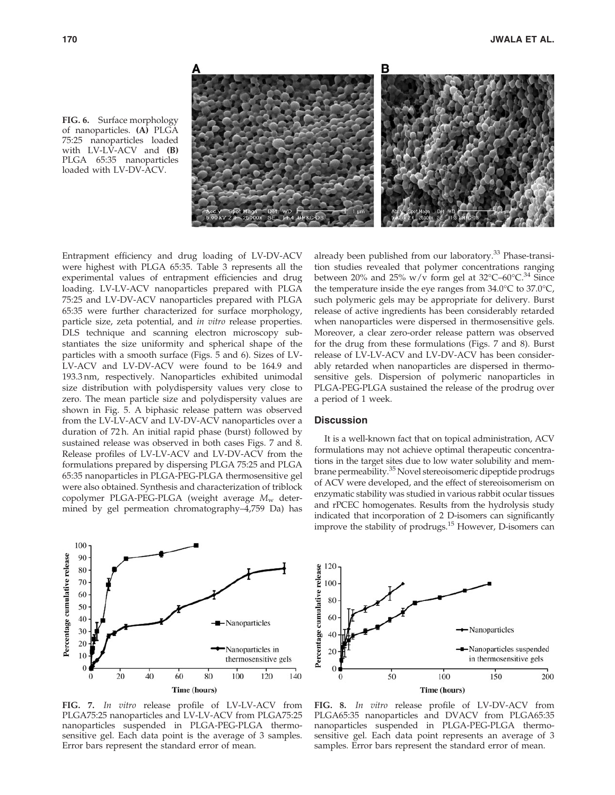

FIG. 6. Surface morphology of nanoparticles. (A) PLGA 75:25 nanoparticles loaded with  $LV-L\hat{V}-ACV$  and  $(B)$ PLGA 65:35 nanoparticles loaded with LV-DV-ACV.

Entrapment efficiency and drug loading of LV-DV-ACV were highest with PLGA 65:35. Table 3 represents all the experimental values of entrapment efficiencies and drug loading. LV-LV-ACV nanoparticles prepared with PLGA 75:25 and LV-DV-ACV nanoparticles prepared with PLGA 65:35 were further characterized for surface morphology, particle size, zeta potential, and *in vitro* release properties. DLS technique and scanning electron microscopy substantiates the size uniformity and spherical shape of the particles with a smooth surface (Figs. 5 and 6). Sizes of LV-LV-ACV and LV-DV-ACV were found to be 164.9 and 193.3 nm, respectively. Nanoparticles exhibited unimodal size distribution with polydispersity values very close to zero. The mean particle size and polydispersity values are shown in Fig. 5. A biphasic release pattern was observed from the LV-LV-ACV and LV-DV-ACV nanoparticles over a duration of 72 h. An initial rapid phase (burst) followed by sustained release was observed in both cases Figs. 7 and 8. Release profiles of LV-LV-ACV and LV-DV-ACV from the formulations prepared by dispersing PLGA 75:25 and PLGA 65:35 nanoparticles in PLGA-PEG-PLGA thermosensitive gel were also obtained. Synthesis and characterization of triblock copolymer PLGA-PEG-PLGA (weight average  $M_w$  determined by gel permeation chromatography–4,759 Da) has



FIG. 7. *In vitro* release profile of LV-LV-ACV from PLGA75:25 nanoparticles and LV-LV-ACV from PLGA75:25 nanoparticles suspended in PLGA-PEG-PLGA thermosensitive gel. Each data point is the average of 3 samples. Error bars represent the standard error of mean.

already been published from our laboratory.<sup>33</sup> Phase-transition studies revealed that polymer concentrations ranging between 20% and 25% w/v form gel at  $32^{\circ}C$ –60 $^{\circ}C^{34}$  Since the temperature inside the eye ranges from  $34.0^{\circ}$ C to  $37.0^{\circ}$ C, such polymeric gels may be appropriate for delivery. Burst release of active ingredients has been considerably retarded when nanoparticles were dispersed in thermosensitive gels. Moreover, a clear zero-order release pattern was observed for the drug from these formulations (Figs. 7 and 8). Burst release of LV-LV-ACV and LV-DV-ACV has been considerably retarded when nanoparticles are dispersed in thermosensitive gels. Dispersion of polymeric nanoparticles in PLGA-PEG-PLGA sustained the release of the prodrug over a period of 1 week.

# **Discussion**

It is a well-known fact that on topical administration, ACV formulations may not achieve optimal therapeutic concentrations in the target sites due to low water solubility and membrane permeability.<sup>35</sup> Novel stereoisomeric dipeptide prodrugs of ACV were developed, and the effect of stereoisomerism on enzymatic stability was studied in various rabbit ocular tissues and rPCEC homogenates. Results from the hydrolysis study indicated that incorporation of 2 D-isomers can significantly improve the stability of prodrugs.<sup>15</sup> However, D-isomers can



FIG. 8. *In vitro* release profile of LV-DV-ACV from PLGA65:35 nanoparticles and DVACV from PLGA65:35 nanoparticles suspended in PLGA-PEG-PLGA thermosensitive gel. Each data point represents an average of 3 samples. Error bars represent the standard error of mean.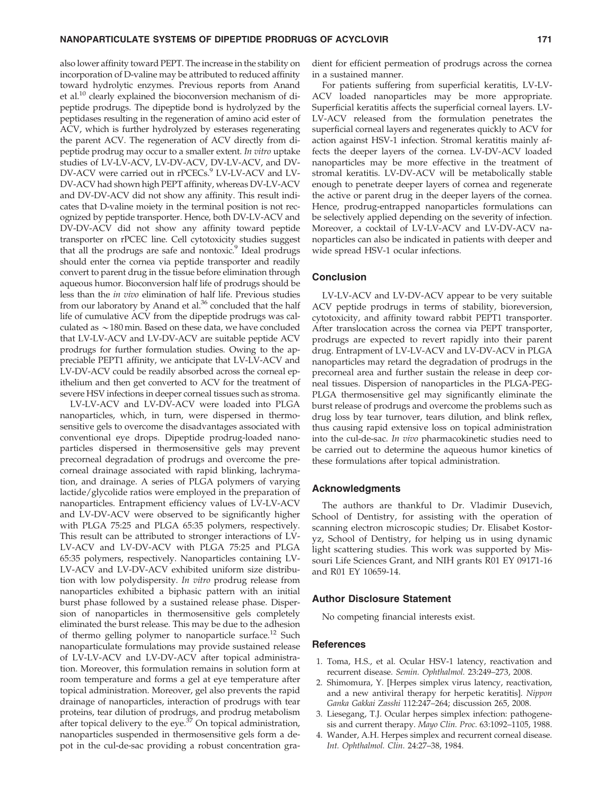also lower affinity toward PEPT. The increase in the stability on incorporation of D-valine may be attributed to reduced affinity toward hydrolytic enzymes. Previous reports from Anand et al.<sup>10</sup> clearly explained the bioconversion mechanism of dipeptide prodrugs. The dipeptide bond is hydrolyzed by the peptidases resulting in the regeneration of amino acid ester of ACV, which is further hydrolyzed by esterases regenerating the parent ACV. The regeneration of ACV directly from dipeptide prodrug may occur to a smaller extent. *In vitro* uptake studies of LV-LV-ACV, LV-DV-ACV, DV-LV-ACV, and DV-DV-ACV were carried out in rPCECs.<sup>9</sup> LV-LV-ACV and LV-DV-ACV had shown high PEPT affinity, whereas DV-LV-ACV and DV-DV-ACV did not show any affinity. This result indicates that D-valine moiety in the terminal position is not recognized by peptide transporter. Hence, both DV-LV-ACV and DV-DV-ACV did not show any affinity toward peptide transporter on rPCEC line. Cell cytotoxicity studies suggest that all the prodrugs are safe and nontoxic.<sup>9</sup> Ideal prodrugs should enter the cornea via peptide transporter and readily convert to parent drug in the tissue before elimination through aqueous humor. Bioconversion half life of prodrugs should be less than the *in vivo* elimination of half life. Previous studies from our laboratory by Anand et al. $36$  concluded that the half life of cumulative ACV from the dipeptide prodrugs was calculated as  $\sim$  180 min. Based on these data, we have concluded that LV-LV-ACV and LV-DV-ACV are suitable peptide ACV prodrugs for further formulation studies. Owing to the appreciable PEPT1 affinity, we anticipate that LV-LV-ACV and LV-DV-ACV could be readily absorbed across the corneal epithelium and then get converted to ACV for the treatment of severe HSV infections in deeper corneal tissues such as stroma.

LV-LV-ACV and LV-DV-ACV were loaded into PLGA nanoparticles, which, in turn, were dispersed in thermosensitive gels to overcome the disadvantages associated with conventional eye drops. Dipeptide prodrug-loaded nanoparticles dispersed in thermosensitive gels may prevent precorneal degradation of prodrugs and overcome the precorneal drainage associated with rapid blinking, lachrymation, and drainage. A series of PLGA polymers of varying lactide/glycolide ratios were employed in the preparation of nanoparticles. Entrapment efficiency values of LV-LV-ACV and LV-DV-ACV were observed to be significantly higher with PLGA 75:25 and PLGA 65:35 polymers, respectively. This result can be attributed to stronger interactions of LV-LV-ACV and LV-DV-ACV with PLGA 75:25 and PLGA 65:35 polymers, respectively. Nanoparticles containing LV-LV-ACV and LV-DV-ACV exhibited uniform size distribution with low polydispersity. *In vitro* prodrug release from nanoparticles exhibited a biphasic pattern with an initial burst phase followed by a sustained release phase. Dispersion of nanoparticles in thermosensitive gels completely eliminated the burst release. This may be due to the adhesion of thermo gelling polymer to nanoparticle surface.<sup>12</sup> Such nanoparticulate formulations may provide sustained release of LV-LV-ACV and LV-DV-ACV after topical administration. Moreover, this formulation remains in solution form at room temperature and forms a gel at eye temperature after topical administration. Moreover, gel also prevents the rapid drainage of nanoparticles, interaction of prodrugs with tear proteins, tear dilution of prodrugs, and prodrug metabolism after topical delivery to the eye. $37$  On topical administration, nanoparticles suspended in thermosensitive gels form a depot in the cul-de-sac providing a robust concentration gradient for efficient permeation of prodrugs across the cornea in a sustained manner.

For patients suffering from superficial keratitis, LV-LV-ACV loaded nanoparticles may be more appropriate. Superficial keratitis affects the superficial corneal layers. LV-LV-ACV released from the formulation penetrates the superficial corneal layers and regenerates quickly to ACV for action against HSV-1 infection. Stromal keratitis mainly affects the deeper layers of the cornea. LV-DV-ACV loaded nanoparticles may be more effective in the treatment of stromal keratitis. LV-DV-ACV will be metabolically stable enough to penetrate deeper layers of cornea and regenerate the active or parent drug in the deeper layers of the cornea. Hence, prodrug-entrapped nanoparticles formulations can be selectively applied depending on the severity of infection. Moreover, a cocktail of LV-LV-ACV and LV-DV-ACV nanoparticles can also be indicated in patients with deeper and wide spread HSV-1 ocular infections.

#### Conclusion

LV-LV-ACV and LV-DV-ACV appear to be very suitable ACV peptide prodrugs in terms of stability, bioreversion, cytotoxicity, and affinity toward rabbit PEPT1 transporter. After translocation across the cornea via PEPT transporter, prodrugs are expected to revert rapidly into their parent drug. Entrapment of LV-LV-ACV and LV-DV-ACV in PLGA nanoparticles may retard the degradation of prodrugs in the precorneal area and further sustain the release in deep corneal tissues. Dispersion of nanoparticles in the PLGA-PEG-PLGA thermosensitive gel may significantly eliminate the burst release of prodrugs and overcome the problems such as drug loss by tear turnover, tears dilution, and blink reflex, thus causing rapid extensive loss on topical administration into the cul-de-sac. *In vivo* pharmacokinetic studies need to be carried out to determine the aqueous humor kinetics of these formulations after topical administration.

## Acknowledgments

The authors are thankful to Dr. Vladimir Dusevich, School of Dentistry, for assisting with the operation of scanning electron microscopic studies; Dr. Elisabet Kostoryz, School of Dentistry, for helping us in using dynamic light scattering studies. This work was supported by Missouri Life Sciences Grant, and NIH grants R01 EY 09171-16 and R01 EY 10659-14.

## Author Disclosure Statement

No competing financial interests exist.

## **References**

- 1. Toma, H.S., et al. Ocular HSV-1 latency, reactivation and recurrent disease. *Semin. Ophthalmol.* 23:249–273, 2008.
- 2. Shimomura, Y. [Herpes simplex virus latency, reactivation, and a new antiviral therapy for herpetic keratitis]. *Nippon Ganka Gakkai Zasshi* 112:247–264; discussion 265, 2008.
- 3. Liesegang, T.J. Ocular herpes simplex infection: pathogenesis and current therapy. *Mayo Clin. Proc.* 63:1092–1105, 1988.
- 4. Wander, A.H. Herpes simplex and recurrent corneal disease. *Int. Ophthalmol. Clin*. 24:27–38, 1984.